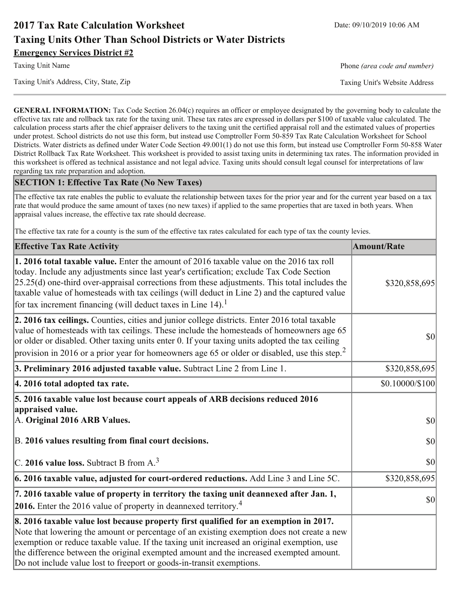# **2017 Tax Rate Calculation Worksheet Taxing Units Other Than School Districts or Water Districts Emergency Services District #2**

Taxing Unit's Address, City, State, Zip

**Taxing Unit Name** 

Phone (area code and number)

Taxing Unit's Website Address

**GENERAL INFORMATION:** Tax Code Section 26.04(c) requires an officer or employee designated by the governing body to calculate the effective tax rate and rollback tax rate for the taxing unit. These tax rates are expressed in dollars per \$100 of taxable value calculated. The calculation process starts after the chief appraiser delivers to the taxing unit the certified appraisal roll and the estimated values of properties under protest. School districts do not use this form, but instead use Comptroller Form 50-859 Tax Rate Calculation Worksheet for School Districts. Water districts as defined under Water Code Section 49.001(1) do not use this form, but instead use Comptroller Form 50-858 Water District Rollback Tax Rate Worksheet. This worksheet is provided to assist taxing units in determining tax rates. The information provided in this worksheet is offered as technical assistance and not legal advice. Taxing units should consult legal counsel for interpretations of law regarding tax rate preparation and adoption.

### **SECTION 1: Effective Tax Rate (No New Taxes)**

The effective tax rate enables the public to evaluate the relationship between taxes for the prior year and for the current year based on a tax rate that would produce the same amount of taxes (no new taxes) if applied to the same properties that are taxed in both years. When appraisal values increase, the effective tax rate should decrease.

The effective tax rate for a county is the sum of the effective tax rates calculated for each type of tax the county levies.

| <b>Effective Tax Rate Activity</b>                                                                                                                                                                                                                                                                                                                                                                                                                                      | <b>Amount/Rate</b>    |
|-------------------------------------------------------------------------------------------------------------------------------------------------------------------------------------------------------------------------------------------------------------------------------------------------------------------------------------------------------------------------------------------------------------------------------------------------------------------------|-----------------------|
| 1. 2016 total taxable value. Enter the amount of 2016 taxable value on the 2016 tax roll<br>today. Include any adjustments since last year's certification; exclude Tax Code Section<br>$[25.25(d)$ one-third over-appraisal corrections from these adjustments. This total includes the<br>taxable value of homesteads with tax ceilings (will deduct in Line 2) and the captured value<br>for tax increment financing (will deduct taxes in Line $14$ ). <sup>1</sup> | \$320,858,695         |
| 2. 2016 tax ceilings. Counties, cities and junior college districts. Enter 2016 total taxable<br>value of homesteads with tax ceilings. These include the homesteads of homeowners age 65<br>or older or disabled. Other taxing units enter 0. If your taxing units adopted the tax ceiling<br>provision in 2016 or a prior year for homeowners age 65 or older or disabled, use this step. <sup>2</sup>                                                                | \$0                   |
| 3. Preliminary 2016 adjusted taxable value. Subtract Line 2 from Line 1.                                                                                                                                                                                                                                                                                                                                                                                                | \$320,858,695         |
| 4. 2016 total adopted tax rate.                                                                                                                                                                                                                                                                                                                                                                                                                                         | $$0.10000 \times 100$ |
| 5. 2016 taxable value lost because court appeals of ARB decisions reduced 2016<br>appraised value.<br>A. Original 2016 ARB Values.                                                                                                                                                                                                                                                                                                                                      | $ 10\rangle$          |
| B. 2016 values resulting from final court decisions.                                                                                                                                                                                                                                                                                                                                                                                                                    | 30                    |
| C. 2016 value loss. Subtract B from $A3$                                                                                                                                                                                                                                                                                                                                                                                                                                | $ S_0 $               |
| $\vert$ 6. 2016 taxable value, adjusted for court-ordered reductions. Add Line 3 and Line 5C.                                                                                                                                                                                                                                                                                                                                                                           | \$320,858,695         |
| 7. 2016 taxable value of property in territory the taxing unit deannexed after Jan. 1,<br>2016. Enter the 2016 value of property in deannexed territory. <sup>4</sup>                                                                                                                                                                                                                                                                                                   | $ 10\rangle$          |
| 8. 2016 taxable value lost because property first qualified for an exemption in 2017.<br>Note that lowering the amount or percentage of an existing exemption does not create a new<br>exemption or reduce taxable value. If the taxing unit increased an original exemption, use<br>the difference between the original exempted amount and the increased exempted amount.<br>Do not include value lost to freeport or goods-in-transit exemptions.                    |                       |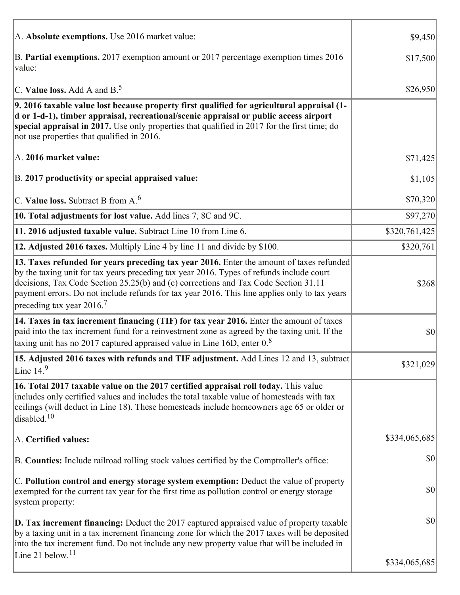| A. Absolute exemptions. Use 2016 market value:                                                                                                                                                                                                                                                                                                                                                                         | \$9,450       |
|------------------------------------------------------------------------------------------------------------------------------------------------------------------------------------------------------------------------------------------------------------------------------------------------------------------------------------------------------------------------------------------------------------------------|---------------|
| B. Partial exemptions. 2017 exemption amount or 2017 percentage exemption times 2016<br>value:                                                                                                                                                                                                                                                                                                                         | \$17,500      |
| C. Value loss. Add A and $B^5$ .                                                                                                                                                                                                                                                                                                                                                                                       | \$26,950      |
| 9. 2016 taxable value lost because property first qualified for agricultural appraisal (1-<br>d or 1-d-1), timber appraisal, recreational/scenic appraisal or public access airport<br>special appraisal in 2017. Use only properties that qualified in 2017 for the first time; do<br>not use properties that qualified in 2016.                                                                                      |               |
| A. 2016 market value:                                                                                                                                                                                                                                                                                                                                                                                                  | \$71,425      |
| B. 2017 productivity or special appraised value:                                                                                                                                                                                                                                                                                                                                                                       | \$1,105       |
| $\vert$ C. Value loss. Subtract B from A. $^6$                                                                                                                                                                                                                                                                                                                                                                         | \$70,320      |
| 10. Total adjustments for lost value. Add lines 7, 8C and 9C.                                                                                                                                                                                                                                                                                                                                                          | \$97,270      |
| 11. 2016 adjusted taxable value. Subtract Line 10 from Line 6.                                                                                                                                                                                                                                                                                                                                                         | \$320,761,425 |
| 12. Adjusted 2016 taxes. Multiply Line 4 by line 11 and divide by \$100.                                                                                                                                                                                                                                                                                                                                               | \$320,761     |
| 13. Taxes refunded for years preceding tax year 2016. Enter the amount of taxes refunded<br>by the taxing unit for tax years preceding tax year 2016. Types of refunds include court<br>decisions, Tax Code Section 25.25(b) and (c) corrections and Tax Code Section 31.11<br>payment errors. Do not include refunds for tax year 2016. This line applies only to tax years<br>preceding tax year $2016$ <sup>7</sup> | \$268         |
| 14. Taxes in tax increment financing (TIF) for tax year 2016. Enter the amount of taxes<br>paid into the tax increment fund for a reinvestment zone as agreed by the taxing unit. If the<br>taxing unit has no 2017 captured appraised value in Line 16D, enter $0.8$                                                                                                                                                  | \$0           |
| 15. Adjusted 2016 taxes with refunds and TIF adjustment. Add Lines 12 and 13, subtract<br>Line $149$                                                                                                                                                                                                                                                                                                                   | \$321,029     |
| 16. Total 2017 taxable value on the 2017 certified appraisal roll today. This value<br>includes only certified values and includes the total taxable value of homesteads with tax<br>ceilings (will deduct in Line 18). These homesteads include homeowners age 65 or older or<br>disabled. <sup>10</sup>                                                                                                              |               |
| A. Certified values:                                                                                                                                                                                                                                                                                                                                                                                                   | \$334,065,685 |
| B. Counties: Include railroad rolling stock values certified by the Comptroller's office:                                                                                                                                                                                                                                                                                                                              | \$0           |
| C. Pollution control and energy storage system exemption: Deduct the value of property<br>exempted for the current tax year for the first time as pollution control or energy storage<br>system property:                                                                                                                                                                                                              | \$0           |
| <b>D. Tax increment financing:</b> Deduct the 2017 captured appraised value of property taxable<br>by a taxing unit in a tax increment financing zone for which the 2017 taxes will be deposited<br>into the tax increment fund. Do not include any new property value that will be included in                                                                                                                        | \$0           |
| Line 21 below. <sup>11</sup>                                                                                                                                                                                                                                                                                                                                                                                           | \$334,065,685 |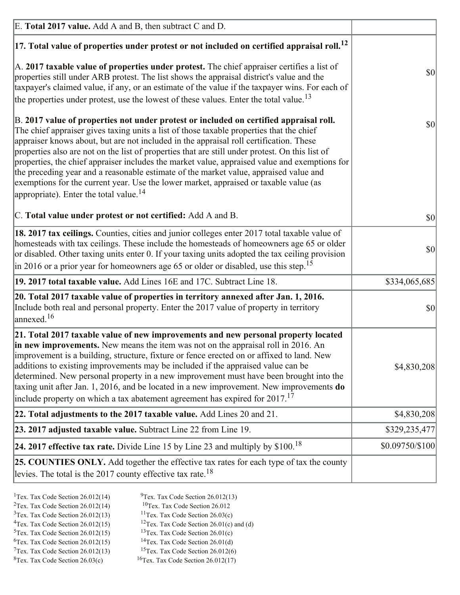| E. Total 2017 value. Add A and B, then subtract C and D.                                                                                                                                                                                                                                                                                                                                                                                                                                                                                                                                                                                                                                                                 |                 |
|--------------------------------------------------------------------------------------------------------------------------------------------------------------------------------------------------------------------------------------------------------------------------------------------------------------------------------------------------------------------------------------------------------------------------------------------------------------------------------------------------------------------------------------------------------------------------------------------------------------------------------------------------------------------------------------------------------------------------|-----------------|
| $ 17$ . Total value of properties under protest or not included on certified appraisal roll. <sup>12</sup>                                                                                                                                                                                                                                                                                                                                                                                                                                                                                                                                                                                                               |                 |
| A. 2017 taxable value of properties under protest. The chief appraiser certifies a list of<br>properties still under ARB protest. The list shows the appraisal district's value and the<br>taxpayer's claimed value, if any, or an estimate of the value if the taxpayer wins. For each of<br>the properties under protest, use the lowest of these values. Enter the total value. <sup>13</sup>                                                                                                                                                                                                                                                                                                                         | \$0             |
| B. 2017 value of properties not under protest or included on certified appraisal roll.<br>The chief appraiser gives taxing units a list of those taxable properties that the chief<br>appraiser knows about, but are not included in the appraisal roll certification. These<br>properties also are not on the list of properties that are still under protest. On this list of<br>properties, the chief appraiser includes the market value, appraised value and exemptions for<br>the preceding year and a reasonable estimate of the market value, appraised value and<br>exemptions for the current year. Use the lower market, appraised or taxable value (as<br>appropriate). Enter the total value. <sup>14</sup> | \$0             |
| C. Total value under protest or not certified: Add A and B.                                                                                                                                                                                                                                                                                                                                                                                                                                                                                                                                                                                                                                                              | \$0             |
| 18. 2017 tax ceilings. Counties, cities and junior colleges enter 2017 total taxable value of<br>homesteads with tax ceilings. These include the homesteads of homeowners age 65 or older<br>or disabled. Other taxing units enter 0. If your taxing units adopted the tax ceiling provision<br>$\vert$ in 2016 or a prior year for homeowners age 65 or older or disabled, use this step. <sup>15</sup>                                                                                                                                                                                                                                                                                                                 | \$0             |
| 19. 2017 total taxable value. Add Lines 16E and 17C. Subtract Line 18.                                                                                                                                                                                                                                                                                                                                                                                                                                                                                                                                                                                                                                                   | \$334,065,685   |
| 20. Total 2017 taxable value of properties in territory annexed after Jan. 1, 2016.<br>Include both real and personal property. Enter the 2017 value of property in territory<br>$\text{anne}$ xed. <sup>16</sup>                                                                                                                                                                                                                                                                                                                                                                                                                                                                                                        | \$0             |
| 21. Total 2017 taxable value of new improvements and new personal property located<br>in new improvements. New means the item was not on the appraisal roll in 2016. An<br>improvement is a building, structure, fixture or fence erected on or affixed to land. New<br>additions to existing improvements may be included if the appraised value can be<br>determined. New personal property in a new improvement must have been brought into the<br>taxing unit after Jan. 1, 2016, and be located in a new improvement. New improvements <b>do</b><br>include property on which a tax abatement agreement has expired for $2017$ . <sup>17</sup>                                                                      | \$4,830,208     |
| 22. Total adjustments to the 2017 taxable value. Add Lines 20 and 21.                                                                                                                                                                                                                                                                                                                                                                                                                                                                                                                                                                                                                                                    | \$4,830,208     |
| 23. 2017 adjusted taxable value. Subtract Line 22 from Line 19.                                                                                                                                                                                                                                                                                                                                                                                                                                                                                                                                                                                                                                                          | \$329,235,477   |
| 24. 2017 effective tax rate. Divide Line 15 by Line 23 and multiply by $$100$ . <sup>18</sup>                                                                                                                                                                                                                                                                                                                                                                                                                                                                                                                                                                                                                            | \$0.09750/\$100 |
| 25. COUNTIES ONLY. Add together the effective tax rates for each type of tax the county<br>levies. The total is the 2017 county effective tax rate. <sup>18</sup>                                                                                                                                                                                                                                                                                                                                                                                                                                                                                                                                                        |                 |

- <sup>1</sup>Tex. Tax Code Section 26.012(14) <sup>2</sup>Tex. Tax Code Section  $26.012(14)$
- <sup>9</sup>Tex. Tax Code Section 26.012(13)
- ${}^{10}$ Tex. Tax Code Section 26.012  $3$ Tex. Tax Code Section 26.012(13)
	- <sup>11</sup>Tex. Tax Code Section  $26.03(c)$
- <sup>12</sup>Tex. Tax Code Section 26.01(c) and (d) <sup>4</sup>Tex. Tax Code Section  $26.012(15)$ <sup>13</sup>Tex. Tax Code Section  $26.01(c)$
- $5$ Tex. Tax Code Section 26.012(15)  $6$ Tex. Tax Code Section 26.012(15)
	- <sup>14</sup>Tex. Tax Code Section 26.01(d)
- $7$ Tex. Tax Code Section 26.012(13)
- $8$ Tex. Tax Code Section 26.03(c)
- <sup>15</sup>Tex. Tax Code Section 26.012(6)
- <sup>16</sup>Tex. Tax Code Section  $26.012(17)$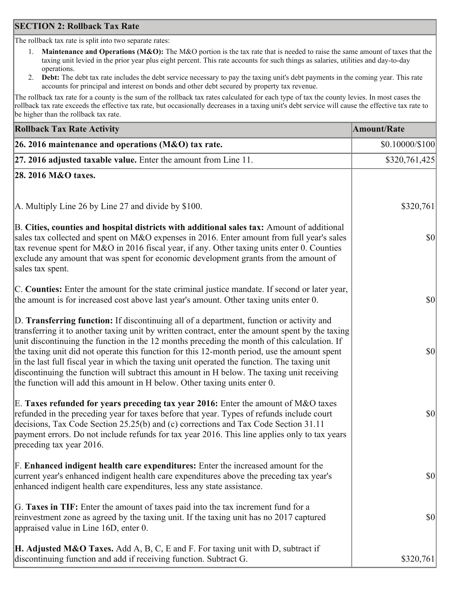### **SECTION 2: Rollback Tax Rate**

The rollback tax rate is split into two separate rates:

- Maintenance and Operations (M&O): The M&O portion is the tax rate that is needed to raise the same amount of taxes that the  $1_{\cdot}$ taxing unit levied in the prior year plus eight percent. This rate accounts for such things as salaries, utilities and day-to-day operations.
- Debt: The debt tax rate includes the debt service necessary to pay the taxing unit's debt payments in the coming year. This rate 2. accounts for principal and interest on bonds and other debt secured by property tax revenue.

The rollback tax rate for a county is the sum of the rollback tax rates calculated for each type of tax the county levies. In most cases the rollback tax rate exceeds the effective tax rate, but occasionally decreases in a taxing unit's debt service will cause the effective tax rate to be higher than the rollback tax rate.

| <b>Rollback Tax Rate Activity</b>                                                                                                                                                                                                                                                                                                                                                                                                                                                                                                                                                                                                                                       | <b>Amount/Rate</b> |
|-------------------------------------------------------------------------------------------------------------------------------------------------------------------------------------------------------------------------------------------------------------------------------------------------------------------------------------------------------------------------------------------------------------------------------------------------------------------------------------------------------------------------------------------------------------------------------------------------------------------------------------------------------------------------|--------------------|
| 26. 2016 maintenance and operations (M&O) tax rate.                                                                                                                                                                                                                                                                                                                                                                                                                                                                                                                                                                                                                     | \$0.10000/\$100    |
| $ 27.2016$ adjusted taxable value. Enter the amount from Line 11.                                                                                                                                                                                                                                                                                                                                                                                                                                                                                                                                                                                                       | \$320,761,425      |
| 28. 2016 M&O taxes.                                                                                                                                                                                                                                                                                                                                                                                                                                                                                                                                                                                                                                                     |                    |
|                                                                                                                                                                                                                                                                                                                                                                                                                                                                                                                                                                                                                                                                         |                    |
| A. Multiply Line 26 by Line 27 and divide by \$100.                                                                                                                                                                                                                                                                                                                                                                                                                                                                                                                                                                                                                     | \$320,761          |
| B. Cities, counties and hospital districts with additional sales tax: Amount of additional<br>sales tax collected and spent on M&O expenses in 2016. Enter amount from full year's sales<br>tax revenue spent for M&O in 2016 fiscal year, if any. Other taxing units enter 0. Counties<br>exclude any amount that was spent for economic development grants from the amount of<br>sales tax spent.                                                                                                                                                                                                                                                                     | $ 10\rangle$       |
| C. Counties: Enter the amount for the state criminal justice mandate. If second or later year,<br>the amount is for increased cost above last year's amount. Other taxing units enter 0.                                                                                                                                                                                                                                                                                                                                                                                                                                                                                | 30                 |
| D. Transferring function: If discontinuing all of a department, function or activity and<br>transferring it to another taxing unit by written contract, enter the amount spent by the taxing<br>unit discontinuing the function in the 12 months preceding the month of this calculation. If<br>the taxing unit did not operate this function for this 12-month period, use the amount spent<br>in the last full fiscal year in which the taxing unit operated the function. The taxing unit<br>discontinuing the function will subtract this amount in H below. The taxing unit receiving<br>the function will add this amount in H below. Other taxing units enter 0. | \$0                |
| E. Taxes refunded for years preceding tax year 2016: Enter the amount of M&O taxes<br>refunded in the preceding year for taxes before that year. Types of refunds include court<br>decisions, Tax Code Section 25.25(b) and (c) corrections and Tax Code Section 31.11<br>payment errors. Do not include refunds for tax year 2016. This line applies only to tax years<br>preceding tax year 2016.                                                                                                                                                                                                                                                                     | \$0                |
| F. Enhanced indigent health care expenditures: Enter the increased amount for the<br>current year's enhanced indigent health care expenditures above the preceding tax year's<br>enhanced indigent health care expenditures, less any state assistance.                                                                                                                                                                                                                                                                                                                                                                                                                 | $ 10\rangle$       |
| G. Taxes in TIF: Enter the amount of taxes paid into the tax increment fund for a<br>reinvestment zone as agreed by the taxing unit. If the taxing unit has no 2017 captured<br>appraised value in Line 16D, enter 0.                                                                                                                                                                                                                                                                                                                                                                                                                                                   | $ 10\rangle$       |
| <b>H. Adjusted M&amp;O Taxes.</b> Add A, B, C, E and F. For taxing unit with D, subtract if<br>discontinuing function and add if receiving function. Subtract G.                                                                                                                                                                                                                                                                                                                                                                                                                                                                                                        | \$320,761          |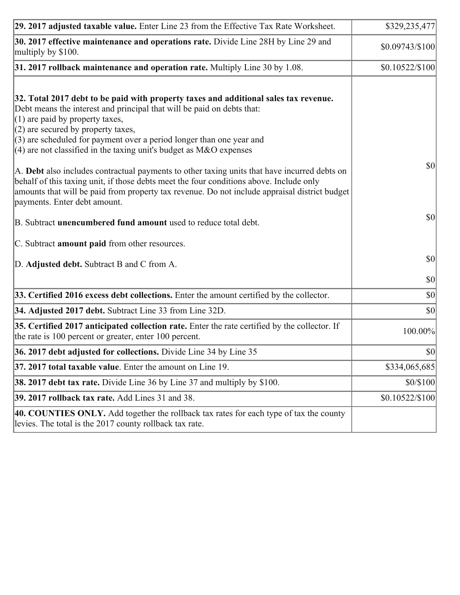| 29. 2017 adjusted taxable value. Enter Line 23 from the Effective Tax Rate Worksheet.                                                                                                                                                                                                                                                                                                         | \$329,235,477   |
|-----------------------------------------------------------------------------------------------------------------------------------------------------------------------------------------------------------------------------------------------------------------------------------------------------------------------------------------------------------------------------------------------|-----------------|
| 30. 2017 effective maintenance and operations rate. Divide Line 28H by Line 29 and<br>multiply by \$100.                                                                                                                                                                                                                                                                                      | \$0.09743/\$100 |
| $31.2017$ rollback maintenance and operation rate. Multiply Line 30 by 1.08.                                                                                                                                                                                                                                                                                                                  | \$0.10522/\$100 |
| 32. Total 2017 debt to be paid with property taxes and additional sales tax revenue.<br>Debt means the interest and principal that will be paid on debts that:<br>$(1)$ are paid by property taxes,<br>$(2)$ are secured by property taxes,<br>$(3)$ are scheduled for payment over a period longer than one year and<br>(4) are not classified in the taxing unit's budget as $M&O$ expenses |                 |
| A. Debt also includes contractual payments to other taxing units that have incurred debts on<br>behalf of this taxing unit, if those debts meet the four conditions above. Include only<br>amounts that will be paid from property tax revenue. Do not include appraisal district budget<br>payments. Enter debt amount.                                                                      | 30              |
| B. Subtract unencumbered fund amount used to reduce total debt.                                                                                                                                                                                                                                                                                                                               | \$0             |
| C. Subtract amount paid from other resources.                                                                                                                                                                                                                                                                                                                                                 |                 |
| D. Adjusted debt. Subtract B and C from A.                                                                                                                                                                                                                                                                                                                                                    | <b>\$0</b>      |
|                                                                                                                                                                                                                                                                                                                                                                                               | \$0             |
| 33. Certified 2016 excess debt collections. Enter the amount certified by the collector.                                                                                                                                                                                                                                                                                                      | $ 10\rangle$    |
| 34. Adjusted 2017 debt. Subtract Line 33 from Line 32D.                                                                                                                                                                                                                                                                                                                                       | $ 10\rangle$    |
| 35. Certified 2017 anticipated collection rate. Enter the rate certified by the collector. If<br>the rate is 100 percent or greater, enter 100 percent.                                                                                                                                                                                                                                       | 100.00%         |
| 36. 2017 debt adjusted for collections. Divide Line 34 by Line 35                                                                                                                                                                                                                                                                                                                             | \$0             |
| $ 37, 2017$ total taxable value. Enter the amount on Line 19.                                                                                                                                                                                                                                                                                                                                 | \$334,065,685   |
| <b>38. 2017 debt tax rate.</b> Divide Line 36 by Line 37 and multiply by \$100.                                                                                                                                                                                                                                                                                                               | \$0/\$100       |
| <b>39. 2017 rollback tax rate.</b> Add Lines 31 and 38.                                                                                                                                                                                                                                                                                                                                       | \$0.10522/\$100 |
| 40. COUNTIES ONLY. Add together the rollback tax rates for each type of tax the county<br>levies. The total is the 2017 county rollback tax rate.                                                                                                                                                                                                                                             |                 |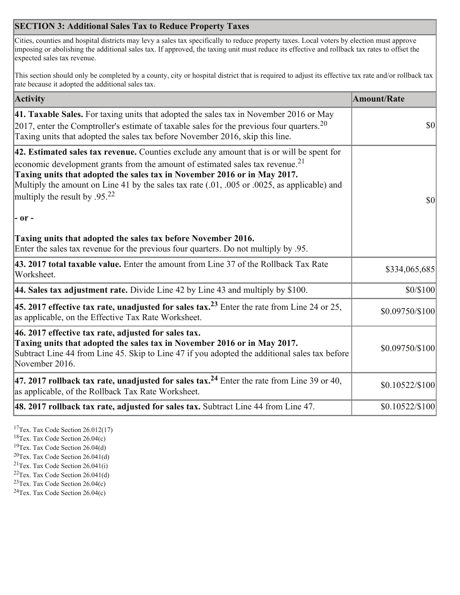# **SECTION 3: Additional Sales Tax to Reduce Property Taxes**

Cities, counties and hospital districts may levy a sales tax specifically to reduce property taxes. Local voters by election must approve imposing or abolishing the additional sales tax. If approved, the taxing unit must reduce its effective and rollback tax rates to offset the expected sales tax revenue.

This section should only be completed by a county, city or hospital district that is required to adjust its effective tax rate and/or rollback tax rate because it adopted the additional sales tax.

| Activity                                                                                                                                                                                                                                                                                                                                                                                                        | <b>Amount/Rate</b>                  |
|-----------------------------------------------------------------------------------------------------------------------------------------------------------------------------------------------------------------------------------------------------------------------------------------------------------------------------------------------------------------------------------------------------------------|-------------------------------------|
| 41. Taxable Sales. For taxing units that adopted the sales tax in November 2016 or May<br>[2017, enter the Comptroller's estimate of taxable sales for the previous four quarters. <sup>20</sup><br>Taxing units that adopted the sales tax before November 2016, skip this line.                                                                                                                               | $\vert \mathbf{S} \mathbf{O} \vert$ |
| 42. Estimated sales tax revenue. Counties exclude any amount that is or will be spent for<br>economic development grants from the amount of estimated sales tax revenue. <sup>21</sup><br>Taxing units that adopted the sales tax in November 2016 or in May 2017.<br>Multiply the amount on Line 41 by the sales tax rate (.01, .005 or .0025, as applicable) and<br>multiply the result by .95. <sup>22</sup> | \$0                                 |
| - or -                                                                                                                                                                                                                                                                                                                                                                                                          |                                     |
| Taxing units that adopted the sales tax before November 2016.<br>Enter the sales tax revenue for the previous four quarters. Do not multiply by .95.                                                                                                                                                                                                                                                            |                                     |
| 43. 2017 total taxable value. Enter the amount from Line 37 of the Rollback Tax Rate<br>Worksheet.                                                                                                                                                                                                                                                                                                              | \$334,065,685                       |
| 44. Sales tax adjustment rate. Divide Line 42 by Line 43 and multiply by $$100$ .                                                                                                                                                                                                                                                                                                                               | \$0/\$100                           |
| 45. 2017 effective tax rate, unadjusted for sales tax. <sup>23</sup> Enter the rate from Line 24 or 25,<br>as applicable, on the Effective Tax Rate Worksheet.                                                                                                                                                                                                                                                  | \$0.09750/\$100                     |
| 46. 2017 effective tax rate, adjusted for sales tax.<br>Taxing units that adopted the sales tax in November 2016 or in May 2017.<br>Subtract Line 44 from Line 45. Skip to Line 47 if you adopted the additional sales tax before<br>November 2016.                                                                                                                                                             | \$0.09750/\$100                     |
| 47. 2017 rollback tax rate, unadjusted for sales tax. <sup>24</sup> Enter the rate from Line 39 or 40,<br>as applicable, of the Rollback Tax Rate Worksheet.                                                                                                                                                                                                                                                    | \$0.10522/\$100                     |
| $ 48.2017$ rollback tax rate, adjusted for sales tax. Subtract Line 44 from Line 47.                                                                                                                                                                                                                                                                                                                            | \$0.10522/\$100                     |

 $17$ Tex. Tax Code Section 26.012(17)

 $18$ Tex. Tax Code Section 26.04(c)

<sup>19</sup>Tex. Tax Code Section 26.04(d)

 $20$ Tex. Tax Code Section 26.041(d)

- <sup>21</sup>Tex. Tax Code Section  $26.041(i)$
- ${}^{22}$ Tex. Tax Code Section 26.041(d)
- <sup>23</sup>Tex. Tax Code Section  $26.04(c)$

<sup>24</sup>Tex. Tax Code Section  $26.04(c)$